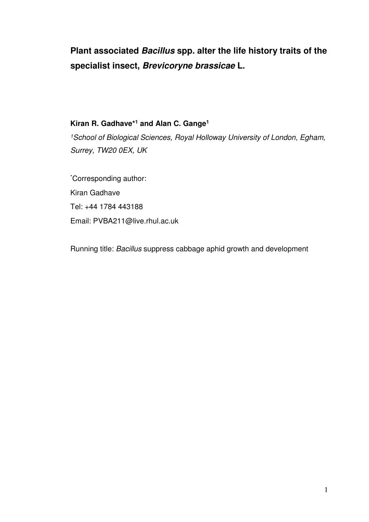# **Plant associated Bacillus spp. alter the life history traits of the specialist insect, Brevicoryne brassicae L.**

# **Kiran R. Gadhave\*<sup>1</sup> and Alan C. Gange<sup>1</sup>**

<sup>1</sup>School of Biological Sciences, Royal Holloway University of London, Egham, Surrey, TW20 0EX, UK

\*Corresponding author: Kiran Gadhave Tel: +44 1784 443188 Email: PVBA211@live.rhul.ac.uk

Running title: Bacillus suppress cabbage aphid growth and development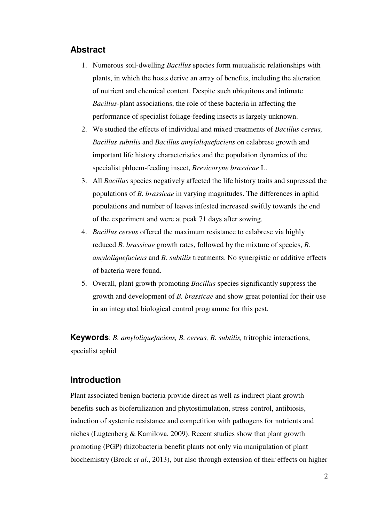# **Abstract**

- 1. Numerous soil-dwelling *Bacillus* species form mutualistic relationships with plants, in which the hosts derive an array of benefits, including the alteration of nutrient and chemical content. Despite such ubiquitous and intimate *Bacillus*-plant associations, the role of these bacteria in affecting the performance of specialist foliage-feeding insects is largely unknown.
- 2. We studied the effects of individual and mixed treatments of *Bacillus cereus, Bacillus subtilis* and *Bacillus amyloliquefaciens* on calabrese growth and important life history characteristics and the population dynamics of the specialist phloem-feeding insect, *Brevicoryne brassicae* L.
- 3. All *Bacillus* species negatively affected the life history traits and supressed the populations of *B. brassicae* in varying magnitudes. The differences in aphid populations and number of leaves infested increased swiftly towards the end of the experiment and were at peak 71 days after sowing.
- 4. *Bacillus cereus* offered the maximum resistance to calabrese via highly reduced *B. brassicae* growth rates, followed by the mixture of species, *B. amyloliquefaciens* and *B. subtilis* treatments. No synergistic or additive effects of bacteria were found.
- 5. Overall, plant growth promoting *Bacillus* species significantly suppress the growth and development of *B. brassicae* and show great potential for their use in an integrated biological control programme for this pest.

**Keywords**: *B. amyloliquefaciens, B. cereus, B. subtilis,* tritrophic interactions, specialist aphid

# **Introduction**

Plant associated benign bacteria provide direct as well as indirect plant growth benefits such as biofertilization and phytostimulation, stress control, antibiosis, induction of systemic resistance and competition with pathogens for nutrients and niches (Lugtenberg & Kamilova, 2009). Recent studies show that plant growth promoting (PGP) rhizobacteria benefit plants not only via manipulation of plant biochemistry (Brock *et al*., 2013), but also through extension of their effects on higher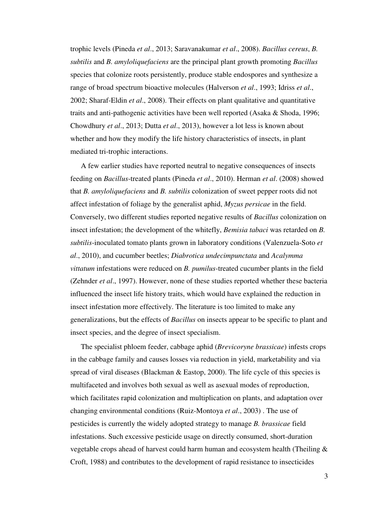trophic levels (Pineda *et al*., 2013; Saravanakumar *et al*., 2008). *Bacillus cereus*, *B. subtilis* and *B. amyloliquefaciens* are the principal plant growth promoting *Bacillus* species that colonize roots persistently, produce stable endospores and synthesize a range of broad spectrum bioactive molecules (Halverson *et al*., 1993; Idriss *et al*., 2002; Sharaf-Eldin *et al*., 2008). Their effects on plant qualitative and quantitative traits and anti-pathogenic activities have been well reported (Asaka & Shoda, 1996; Chowdhury *et al*., 2013; Dutta *et al*., 2013), however a lot less is known about whether and how they modify the life history characteristics of insects, in plant mediated tri-trophic interactions.

A few earlier studies have reported neutral to negative consequences of insects feeding on *Bacillus*-treated plants (Pineda *et al*., 2010). Herman *et al*. (2008) showed that *B. amyloliquefaciens* and *B. subtilis* colonization of sweet pepper roots did not affect infestation of foliage by the generalist aphid, *Myzus persicae* in the field. Conversely, two different studies reported negative results of *Bacillus* colonization on insect infestation; the development of the whitefly, *Bemisia tabaci* was retarded on *B. subtilis*-inoculated tomato plants grown in laboratory conditions (Valenzuela-Soto *et al*., 2010), and cucumber beetles; *Diabrotica undecimpunctata* and *Acalymma vittatum* infestations were reduced on *B. pumilus*-treated cucumber plants in the field (Zehnder *et al*., 1997). However, none of these studies reported whether these bacteria influenced the insect life history traits, which would have explained the reduction in insect infestation more effectively. The literature is too limited to make any generalizations, but the effects of *Bacillus* on insects appear to be specific to plant and insect species, and the degree of insect specialism.

The specialist phloem feeder, cabbage aphid (*Brevicoryne brassicae*) infests crops in the cabbage family and causes losses via reduction in yield, marketability and via spread of viral diseases (Blackman & Eastop, 2000). The life cycle of this species is multifaceted and involves both sexual as well as asexual modes of reproduction, which facilitates rapid colonization and multiplication on plants, and adaptation over changing environmental conditions (Ruiz-Montoya *et al*., 2003) . The use of pesticides is currently the widely adopted strategy to manage *B. brassicae* field infestations. Such excessive pesticide usage on directly consumed, short-duration vegetable crops ahead of harvest could harm human and ecosystem health (Theiling & Croft, 1988) and contributes to the development of rapid resistance to insecticides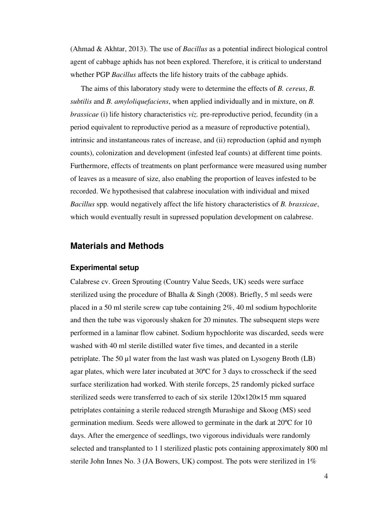(Ahmad & Akhtar, 2013). The use of *Bacillus* as a potential indirect biological control agent of cabbage aphids has not been explored. Therefore, it is critical to understand whether PGP *Bacillus* affects the life history traits of the cabbage aphids.

The aims of this laboratory study were to determine the effects of *B. cereus*, *B. subtilis* and *B. amyloliquefaciens*, when applied individually and in mixture, on *B. brassicae* (i) life history characteristics *viz.* pre-reproductive period, fecundity (in a period equivalent to reproductive period as a measure of reproductive potential), intrinsic and instantaneous rates of increase, and (ii) reproduction (aphid and nymph counts), colonization and development (infested leaf counts) at different time points. Furthermore, effects of treatments on plant performance were measured using number of leaves as a measure of size, also enabling the proportion of leaves infested to be recorded. We hypothesised that calabrese inoculation with individual and mixed *Bacillus* spp. would negatively affect the life history characteristics of *B. brassicae*, which would eventually result in supressed population development on calabrese.

### **Materials and Methods**

#### **Experimental setup**

Calabrese cv. Green Sprouting (Country Value Seeds, UK) seeds were surface sterilized using the procedure of Bhalla & Singh (2008). Briefly, 5 ml seeds were placed in a 50 ml sterile screw cap tube containing 2%, 40 ml sodium hypochlorite and then the tube was vigorously shaken for 20 minutes. The subsequent steps were performed in a laminar flow cabinet. Sodium hypochlorite was discarded, seeds were washed with 40 ml sterile distilled water five times, and decanted in a sterile petriplate. The 50 µl water from the last wash was plated on Lysogeny Broth (LB) agar plates, which were later incubated at 30ºC for 3 days to crosscheck if the seed surface sterilization had worked. With sterile forceps, 25 randomly picked surface sterilized seeds were transferred to each of six sterile 120×120×15 mm squared petriplates containing a sterile reduced strength Murashige and Skoog (MS) seed germination medium. Seeds were allowed to germinate in the dark at 20ºC for 10 days. After the emergence of seedlings, two vigorous individuals were randomly selected and transplanted to 1 l sterilized plastic pots containing approximately 800 ml sterile John Innes No. 3 (JA Bowers, UK) compost. The pots were sterilized in 1%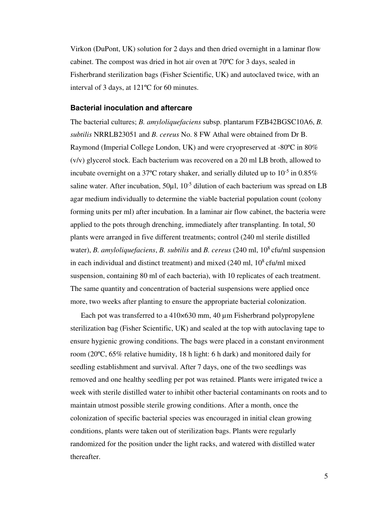Virkon (DuPont, UK) solution for 2 days and then dried overnight in a laminar flow cabinet. The compost was dried in hot air oven at 70ºC for 3 days, sealed in Fisherbrand sterilization bags (Fisher Scientific, UK) and autoclaved twice, with an interval of 3 days, at 121ºC for 60 minutes.

#### **Bacterial inoculation and aftercare**

The bacterial cultures; *B. amyloliquefaciens* subsp. plantarum FZB42BGSC10A6, *B. subtilis* NRRLB23051 and *B. cereus* No. 8 FW Athal were obtained from Dr B. Raymond (Imperial College London, UK) and were cryopreserved at -80ºC in 80% (v/v) glycerol stock. Each bacterium was recovered on a 20 ml LB broth, allowed to incubate overnight on a 37<sup>o</sup>C rotary shaker, and serially diluted up to  $10^{-5}$  in 0.85% saline water. After incubation,  $50\mu$ l,  $10^{-5}$  dilution of each bacterium was spread on LB agar medium individually to determine the viable bacterial population count (colony forming units per ml) after incubation. In a laminar air flow cabinet, the bacteria were applied to the pots through drenching, immediately after transplanting. In total, 50 plants were arranged in five different treatments; control (240 ml sterile distilled water), *B. amyloliquefaciens*, *B. subtilis* and *B. cereus* (240 ml,  $10^8$  cfu/ml suspension in each individual and distinct treatment) and mixed  $(240 \text{ ml}, 10^8 \text{ c} \text{fu/ml} \text{ mixed})$ suspension, containing 80 ml of each bacteria), with 10 replicates of each treatment. The same quantity and concentration of bacterial suspensions were applied once more, two weeks after planting to ensure the appropriate bacterial colonization.

Each pot was transferred to a 410×630 mm, 40 µm Fisherbrand polypropylene sterilization bag (Fisher Scientific, UK) and sealed at the top with autoclaving tape to ensure hygienic growing conditions. The bags were placed in a constant environment room (20ºC, 65% relative humidity, 18 h light: 6 h dark) and monitored daily for seedling establishment and survival. After 7 days, one of the two seedlings was removed and one healthy seedling per pot was retained. Plants were irrigated twice a week with sterile distilled water to inhibit other bacterial contaminants on roots and to maintain utmost possible sterile growing conditions. After a month, once the colonization of specific bacterial species was encouraged in initial clean growing conditions, plants were taken out of sterilization bags. Plants were regularly randomized for the position under the light racks, and watered with distilled water thereafter.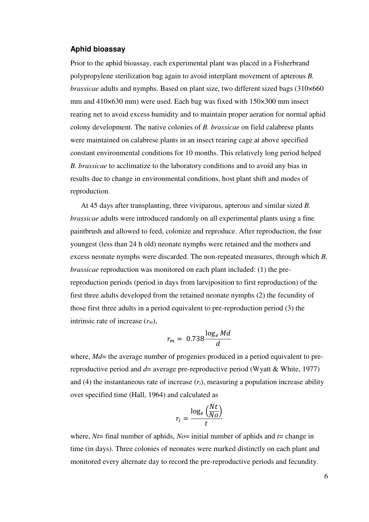#### **Aphid bioassay**

Prior to the aphid bioassay, each experimental plant was placed in a Fisherbrand polypropylene sterilization bag again to avoid interplant movement of apterous *B. brassicae* adults and nymphs. Based on plant size, two different sized bags (310×660 mm and 410×630 mm) were used. Each bag was fixed with 150×300 mm insect rearing net to avoid excess humidity and to maintain proper aeration for normal aphid colony development. The native colonies of *B. brassicae* on field calabrese plants were maintained on calabrese plants in an insect rearing cage at above specified constant environmental conditions for 10 months. This relatively long period helped *B. brassicae* to acclimatize to the laboratory conditions and to avoid any bias in results due to change in environmental conditions, host plant shift and modes of reproduction.

At 45 days after transplanting, three viviparous, apterous and similar sized *B. brassicae* adults were introduced randomly on all experimental plants using a fine paintbrush and allowed to feed, colonize and reproduce. After reproduction, the four youngest (less than 24 h old) neonate nymphs were retained and the mothers and excess neonate nymphs were discarded. The non-repeated measures, through which *B. brassicae* reproduction was monitored on each plant included: (1) the prereproduction periods (period in days from larviposition to first reproduction) of the first three adults developed from the retained neonate nymphs (2) the fecundity of those first three adults in a period equivalent to pre-reproduction period (3) the intrinsic rate of increase (*rm*),

$$
r_m = 0.738 \frac{\log_e Md}{d}
$$

where, *Md*= the average number of progenies produced in a period equivalent to prereproductive period and *d*= average pre-reproductive period (Wyatt & White, 1977) and (4) the instantaneous rate of increase  $(r_i)$ , measuring a population increase ability over specified time (Hall, 1964) and calculated as

$$
r_i = \frac{\log_e \left(\frac{Nt}{N_O}\right)}{t}
$$

where,  $Nt$ = final number of aphids,  $N\sigma$ = initial number of aphids and  $t$ = change in time (in days). Three colonies of neonates were marked distinctly on each plant and monitored every alternate day to record the pre-reproductive periods and fecundity.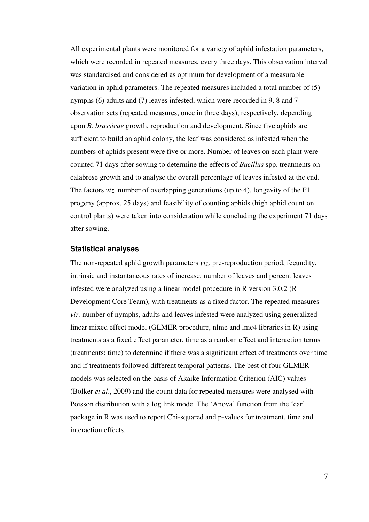All experimental plants were monitored for a variety of aphid infestation parameters, which were recorded in repeated measures, every three days. This observation interval was standardised and considered as optimum for development of a measurable variation in aphid parameters. The repeated measures included a total number of (5) nymphs (6) adults and (7) leaves infested, which were recorded in 9, 8 and 7 observation sets (repeated measures, once in three days), respectively, depending upon *B. brassicae* growth, reproduction and development. Since five aphids are sufficient to build an aphid colony, the leaf was considered as infested when the numbers of aphids present were five or more. Number of leaves on each plant were counted 71 days after sowing to determine the effects of *Bacillus* spp. treatments on calabrese growth and to analyse the overall percentage of leaves infested at the end. The factors *viz*. number of overlapping generations (up to 4), longevity of the F1 progeny (approx. 25 days) and feasibility of counting aphids (high aphid count on control plants) were taken into consideration while concluding the experiment 71 days after sowing.

#### **Statistical analyses**

The non-repeated aphid growth parameters *viz.* pre-reproduction period, fecundity, intrinsic and instantaneous rates of increase, number of leaves and percent leaves infested were analyzed using a linear model procedure in R version 3.0.2 (R Development Core Team), with treatments as a fixed factor. The repeated measures *viz.* number of nymphs, adults and leaves infested were analyzed using generalized linear mixed effect model (GLMER procedure, nlme and lme4 libraries in R) using treatments as a fixed effect parameter, time as a random effect and interaction terms (treatments: time) to determine if there was a significant effect of treatments over time and if treatments followed different temporal patterns. The best of four GLMER models was selected on the basis of Akaike Information Criterion (AIC) values (Bolker *et al*., 2009) and the count data for repeated measures were analysed with Poisson distribution with a log link mode. The 'Anova' function from the 'car' package in R was used to report Chi-squared and p-values for treatment, time and interaction effects.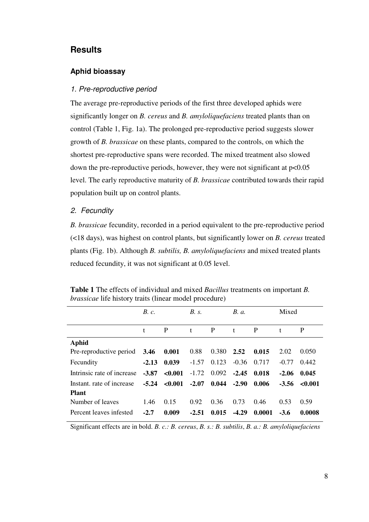# **Results**

### **Aphid bioassay**

#### 1. Pre-reproductive period

The average pre-reproductive periods of the first three developed aphids were significantly longer on *B. cereus* and *B. amyloliquefaciens* treated plants than on control (Table 1, Fig. 1a). The prolonged pre-reproductive period suggests slower growth of *B. brassicae* on these plants, compared to the controls, on which the shortest pre-reproductive spans were recorded. The mixed treatment also slowed down the pre-reproductive periods, however, they were not significant at p<0.05 level. The early reproductive maturity of *B. brassicae* contributed towards their rapid population built up on control plants.

#### 2. Fecundity

*B. brassicae* fecundity, recorded in a period equivalent to the pre-reproductive period (<18 days), was highest on control plants, but significantly lower on *B. cereus* treated plants (Fig. 1b). Although *B. subtilis, B. amyloliquefaciens* and mixed treated plants reduced fecundity, it was not significant at 0.05 level.

|                            | B. c.   | B. s.   |         | <b>B.</b> <i>a.</i> |         |        | Mixed   |         |
|----------------------------|---------|---------|---------|---------------------|---------|--------|---------|---------|
|                            | t       | P       | t       | P                   | t       | P      | t       | P       |
| <b>Aphid</b>               |         |         |         |                     |         |        |         |         |
| Pre-reproductive period    | 3.46    | 0.001   | 0.88    | 0.380               | 2.52    | 0.015  | 2.02    | 0.050   |
| Fecundity                  | $-2.13$ | 0.039   | $-1.57$ | 0.123               | $-0.36$ | 0.717  | $-0.77$ | 0.442   |
| Intrinsic rate of increase | $-3.87$ | < 0.001 | $-1.72$ | 0.092               | $-2.45$ | 0.018  | $-2.06$ | 0.045   |
| Instant, rate of increase  | $-5.24$ | < 0.001 | $-2.07$ | 0.044               | $-2.90$ | 0.006  | $-3.56$ | < 0.001 |
| <b>Plant</b>               |         |         |         |                     |         |        |         |         |
| Number of leaves           | 1.46    | 0.15    | 0.92    | 0.36                | 0.73    | 0.46   | 0.53    | 0.59    |
| Percent leaves infested    | $-2.7$  | 0.009   | $-2.51$ | 0.015               | $-4.29$ | 0.0001 | $-3.6$  | 0.0008  |

**Table 1** The effects of individual and mixed *Bacillus* treatments on important *B. brassicae* life history traits (linear model procedure)

Significant effects are in bold. *B. c.: B. cereus*, *B. s.: B. subtilis*, *B. a.: B. amyloliquefaciens*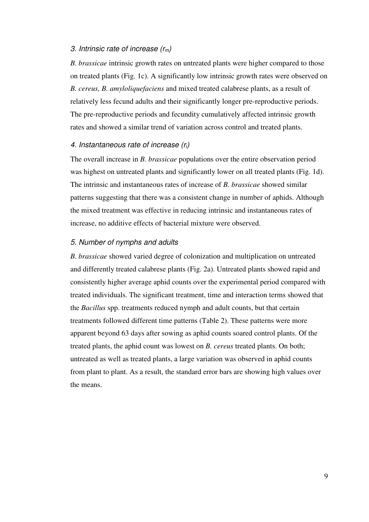#### 3. Intrinsic rate of increase  $(r_m)$

*B. brassicae* intrinsic growth rates on untreated plants were higher compared to those on treated plants (Fig. 1c). A significantly low intrinsic growth rates were observed on *B. cereus, B. amyloliquefaciens* and mixed treated calabrese plants, as a result of relatively less fecund adults and their significantly longer pre-reproductive periods. The pre-reproductive periods and fecundity cumulatively affected intrinsic growth rates and showed a similar trend of variation across control and treated plants.

#### 4. Instantaneous rate of increase  $(r_i)$

The overall increase in *B. brassicae* populations over the entire observation period was highest on untreated plants and significantly lower on all treated plants (Fig. 1d). The intrinsic and instantaneous rates of increase of *B. brassicae* showed similar patterns suggesting that there was a consistent change in number of aphids. Although the mixed treatment was effective in reducing intrinsic and instantaneous rates of increase, no additive effects of bacterial mixture were observed.

#### 5. Number of nymphs and adults

*B. brassicae* showed varied degree of colonization and multiplication on untreated and differently treated calabrese plants (Fig. 2a). Untreated plants showed rapid and consistently higher average aphid counts over the experimental period compared with treated individuals. The significant treatment, time and interaction terms showed that the *Bacillus* spp. treatments reduced nymph and adult counts, but that certain treatments followed different time patterns (Table 2). These patterns were more apparent beyond 63 days after sowing as aphid counts soared control plants. Of the treated plants, the aphid count was lowest on *B. cereus* treated plants. On both; untreated as well as treated plants, a large variation was observed in aphid counts from plant to plant. As a result, the standard error bars are showing high values over the means.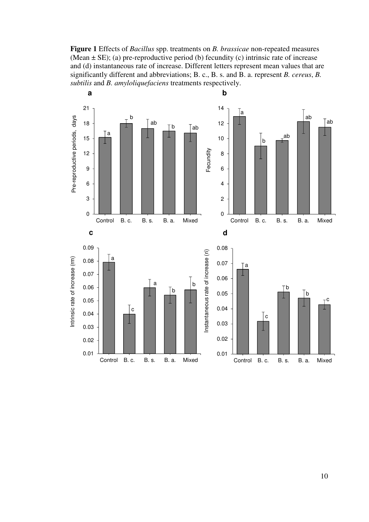**Figure 1** Effects of *Bacillus* spp. treatments on *B. brassicae* non-repeated measures (Mean  $\pm$  SE); (a) pre-reproductive period (b) fecundity (c) intrinsic rate of increase and (d) instantaneous rate of increase. Different letters represent mean values that are significantly different and abbreviations; B. c., B. s. and B. a. represent *B. cereus*, *B. subtilis* and *B. amyloliquefaciens* treatments respectively.

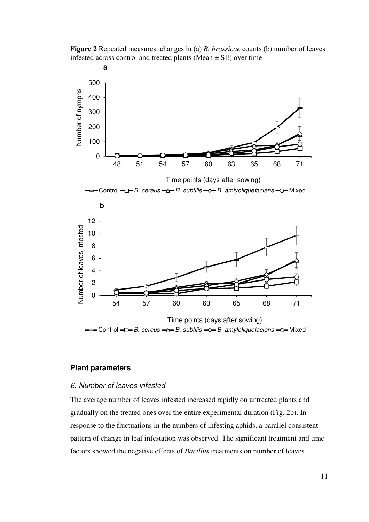**Figure 2** Repeated measures: changes in (a) *B. brassicae* counts (b) number of leaves infested across control and treated plants (Mean ± SE) over time



#### **Plant parameters**

#### 6. Number of leaves infested

The average number of leaves infested increased rapidly on untreated plants and gradually on the treated ones over the entire experimental duration (Fig. 2b). In response to the fluctuations in the numbers of infesting aphids, a parallel consistent pattern of change in leaf infestation was observed. The significant treatment and time factors showed the negative effects of *Bacillus* treatments on number of leaves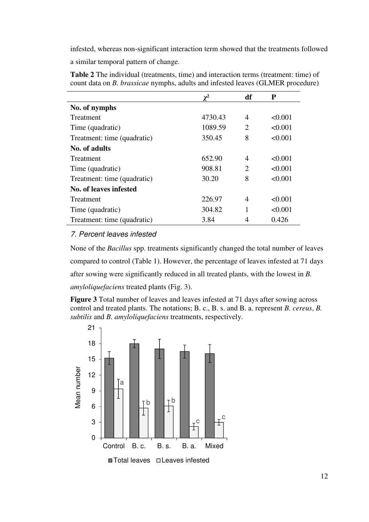infested, whereas non-significant interaction term showed that the treatments followed

a similar temporal pattern of change.

|                             | $\mathbf{v}^2$ | df                    | P       |
|-----------------------------|----------------|-----------------------|---------|
| No. of nymphs               |                |                       |         |
| <b>Treatment</b>            | 4730.43        | 4                     | < 0.001 |
| Time (quadratic)            | 1089.59        | $\mathcal{D}_{\cdot}$ | < 0.001 |
| Treatment: time (quadratic) | 350.45         | 8                     | < 0.001 |
| No. of adults               |                |                       |         |
| Treatment                   | 652.90         | 4                     | < 0.001 |
| Time (quadratic)            | 908.81         | 2                     | < 0.001 |
| Treatment: time (quadratic) | 30.20          | 8                     | < 0.001 |
| No. of leaves infested      |                |                       |         |
| Treatment                   | 226.97         | 4                     | < 0.001 |
| Time (quadratic)            | 304.82         | 1                     | < 0.001 |
| Treatment: time (quadratic) | 3.84           |                       | 0.426   |

**Table 2** The individual (treatments, time) and interaction terms (treatment: time) of count data on *B. brassicae* nymphs, adults and infested leaves (GLMER procedure)

# 7. Percent leaves infested

None of the *Bacillus* spp. treatments significantly changed the total number of leaves compared to control (Table 1). However, the percentage of leaves infested at 71 days after sowing were significantly reduced in all treated plants, with the lowest in *B. amyloliquefaciens* treated plants (Fig. 3).

**Figure 3** Total number of leaves and leaves infested at 71 days after sowing across control and treated plants. The notations; B. c., B. s. and B. a. represent *B. cereus*, *B. subtilis* and *B. amyloliquefaciens* treatments, respectively.

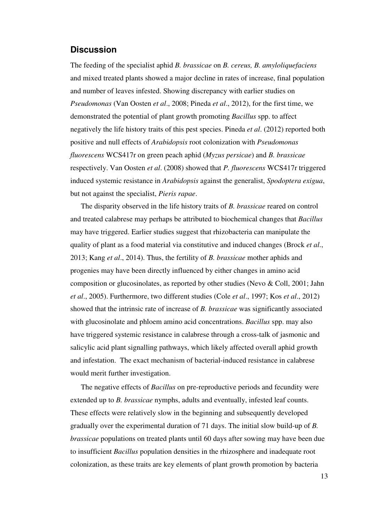### **Discussion**

The feeding of the specialist aphid *B. brassicae* on *B. cereus, B. amyloliquefaciens*  and mixed treated plants showed a major decline in rates of increase, final population and number of leaves infested. Showing discrepancy with earlier studies on *Pseudomonas* (Van Oosten *et al*., 2008; Pineda *et al*., 2012), for the first time, we demonstrated the potential of plant growth promoting *Bacillus* spp. to affect negatively the life history traits of this pest species. Pineda *et al*. (2012) reported both positive and null effects of *Arabidopsis* root colonization with *Pseudomonas fluorescens* WCS417r on green peach aphid (*Myzus persicae*) and *B. brassicae*  respectively. Van Oosten *et al*. (2008) showed that *P. fluorescens* WCS417r triggered induced systemic resistance in *Arabidopsis* against the generalist, *Spodoptera exigua*, but not against the specialist, *Pieris rapae*.

The disparity observed in the life history traits of *B. brassicae* reared on control and treated calabrese may perhaps be attributed to biochemical changes that *Bacillus* may have triggered. Earlier studies suggest that rhizobacteria can manipulate the quality of plant as a food material via constitutive and induced changes (Brock *et al*., 2013; Kang *et al*., 2014). Thus, the fertility of *B. brassicae* mother aphids and progenies may have been directly influenced by either changes in amino acid composition or glucosinolates, as reported by other studies (Nevo & Coll, 2001; Jahn *et al*., 2005). Furthermore, two different studies (Cole *et al*., 1997; Kos *et al*., 2012) showed that the intrinsic rate of increase of *B. brassicae* was significantly associated with glucosinolate and phloem amino acid concentrations. *Bacillus* spp. may also have triggered systemic resistance in calabrese through a cross-talk of jasmonic and salicylic acid plant signalling pathways, which likely affected overall aphid growth and infestation. The exact mechanism of bacterial-induced resistance in calabrese would merit further investigation.

The negative effects of *Bacillus* on pre-reproductive periods and fecundity were extended up to *B. brassicae* nymphs, adults and eventually, infested leaf counts. These effects were relatively slow in the beginning and subsequently developed gradually over the experimental duration of 71 days. The initial slow build-up of *B. brassicae* populations on treated plants until 60 days after sowing may have been due to insufficient *Bacillus* population densities in the rhizosphere and inadequate root colonization, as these traits are key elements of plant growth promotion by bacteria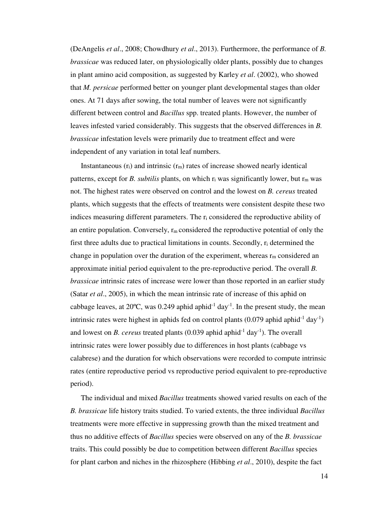(DeAngelis *et al*., 2008; Chowdhury *et al*., 2013). Furthermore, the performance of *B. brassicae* was reduced later, on physiologically older plants, possibly due to changes in plant amino acid composition, as suggested by Karley *et al*. (2002), who showed that *M. persicae* performed better on younger plant developmental stages than older ones. At 71 days after sowing, the total number of leaves were not significantly different between control and *Bacillus* spp. treated plants. However, the number of leaves infested varied considerably. This suggests that the observed differences in *B. brassicae* infestation levels were primarily due to treatment effect and were independent of any variation in total leaf numbers.

Instantaneous  $(r_i)$  and intrinsic  $(r_m)$  rates of increase showed nearly identical patterns, except for *B. subtilis* plants, on which r<sub>i</sub> was significantly lower, but r<sub>m</sub> was not. The highest rates were observed on control and the lowest on *B. cereus* treated plants, which suggests that the effects of treatments were consistent despite these two indices measuring different parameters. The r<sub>i</sub> considered the reproductive ability of an entire population. Conversely,  $r_m$  considered the reproductive potential of only the first three adults due to practical limitations in counts. Secondly, ri determined the change in population over the duration of the experiment, whereas  $r_m$  considered an approximate initial period equivalent to the pre-reproductive period. The overall *B. brassicae* intrinsic rates of increase were lower than those reported in an earlier study (Satar *et al*., 2005), in which the mean intrinsic rate of increase of this aphid on cabbage leaves, at 20 $\degree$ C, was 0.249 aphid aphid<sup>-1</sup> day<sup>-1</sup>. In the present study, the mean intrinsic rates were highest in aphids fed on control plants  $(0.079 \text{ aphid aphid}^{-1} \text{ day}^{-1})$ and lowest on *B. cereus* treated plants  $(0.039 \text{ aphid aphid}^{-1} \text{day}^{-1})$ . The overall intrinsic rates were lower possibly due to differences in host plants (cabbage vs calabrese) and the duration for which observations were recorded to compute intrinsic rates (entire reproductive period vs reproductive period equivalent to pre-reproductive period).

The individual and mixed *Bacillus* treatments showed varied results on each of the *B. brassicae* life history traits studied. To varied extents, the three individual *Bacillus* treatments were more effective in suppressing growth than the mixed treatment and thus no additive effects of *Bacillus* species were observed on any of the *B. brassicae* traits. This could possibly be due to competition between different *Bacillus* species for plant carbon and niches in the rhizosphere (Hibbing *et al*., 2010), despite the fact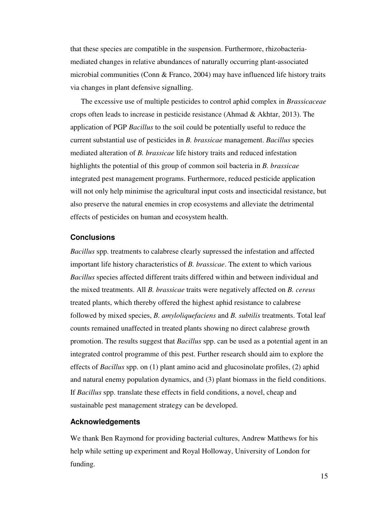that these species are compatible in the suspension. Furthermore, rhizobacteriamediated changes in relative abundances of naturally occurring plant-associated microbial communities (Conn & Franco, 2004) may have influenced life history traits via changes in plant defensive signalling.

The excessive use of multiple pesticides to control aphid complex in *Brassicaceae* crops often leads to increase in pesticide resistance (Ahmad & Akhtar, 2013). The application of PGP *Bacillus* to the soil could be potentially useful to reduce the current substantial use of pesticides in *B. brassicae* management. *Bacillus* species mediated alteration of *B. brassicae* life history traits and reduced infestation highlights the potential of this group of common soil bacteria in *B. brassicae* integrated pest management programs. Furthermore, reduced pesticide application will not only help minimise the agricultural input costs and insecticidal resistance, but also preserve the natural enemies in crop ecosystems and alleviate the detrimental effects of pesticides on human and ecosystem health.

#### **Conclusions**

*Bacillus* spp. treatments to calabrese clearly supressed the infestation and affected important life history characteristics of *B. brassicae*. The extent to which various *Bacillus* species affected different traits differed within and between individual and the mixed treatments. All *B. brassicae* traits were negatively affected on *B. cereus* treated plants, which thereby offered the highest aphid resistance to calabrese followed by mixed species, *B. amyloliquefaciens* and *B. subtilis* treatments. Total leaf counts remained unaffected in treated plants showing no direct calabrese growth promotion. The results suggest that *Bacillus* spp. can be used as a potential agent in an integrated control programme of this pest. Further research should aim to explore the effects of *Bacillus* spp. on (1) plant amino acid and glucosinolate profiles, (2) aphid and natural enemy population dynamics, and (3) plant biomass in the field conditions. If *Bacillus* spp. translate these effects in field conditions, a novel, cheap and sustainable pest management strategy can be developed.

#### **Acknowledgements**

We thank Ben Raymond for providing bacterial cultures, Andrew Matthews for his help while setting up experiment and Royal Holloway, University of London for funding.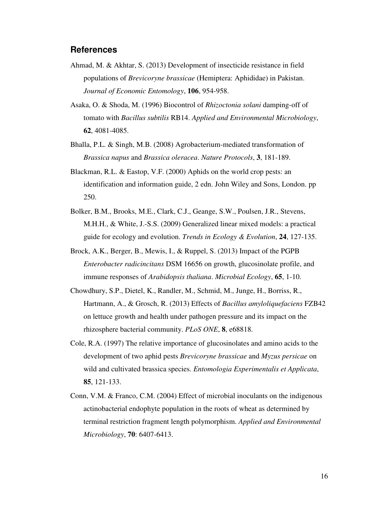# **References**

- Ahmad, M. & Akhtar, S. (2013) Development of insecticide resistance in field populations of *Brevicoryne brassicae* (Hemiptera: Aphididae) in Pakistan. *Journal of Economic Entomology*, **106**, 954-958.
- Asaka, O. & Shoda, M. (1996) Biocontrol of *Rhizoctonia solani* damping-off of tomato with *Bacillus subtilis* RB14. *Applied and Environmental Microbiology*, **62**, 4081-4085.
- Bhalla, P.L. & Singh, M.B. (2008) Agrobacterium-mediated transformation of *Brassica napus* and *Brassica oleracea*. *Nature Protocols*, **3**, 181-189.
- Blackman, R.L. & Eastop, V.F. (2000) Aphids on the world crop pests: an identification and information guide, 2 edn. John Wiley and Sons, London. pp 250.
- Bolker, B.M., Brooks, M.E., Clark, C.J., Geange, S.W., Poulsen, J.R., Stevens, M.H.H., & White, J.-S.S. (2009) Generalized linear mixed models: a practical guide for ecology and evolution. *Trends in Ecology & Evolution*, **24**, 127-135.
- Brock, A.K., Berger, B., Mewis, I., & Ruppel, S. (2013) Impact of the PGPB *Enterobacter radicincitans* DSM 16656 on growth, glucosinolate profile, and immune responses of *Arabidopsis thaliana*. *Microbial Ecology*, **65**, 1-10.
- Chowdhury, S.P., Dietel, K., Randler, M., Schmid, M., Junge, H., Borriss, R., Hartmann, A., & Grosch, R. (2013) Effects of *Bacillus amyloliquefaciens* FZB42 on lettuce growth and health under pathogen pressure and its impact on the rhizosphere bacterial community. *PLoS ONE*, **8**, e68818.
- Cole, R.A. (1997) The relative importance of glucosinolates and amino acids to the development of two aphid pests *Brevicoryne brassicae* and *Myzus persicae* on wild and cultivated brassica species. *Entomologia Experimentalis et Applicata*, **85**, 121-133.
- Conn, V.M. & Franco, C.M. (2004) Effect of microbial inoculants on the indigenous actinobacterial endophyte population in the roots of wheat as determined by terminal restriction fragment length polymorphism. *Applied and Environmental Microbiology*, **70**: 6407-6413.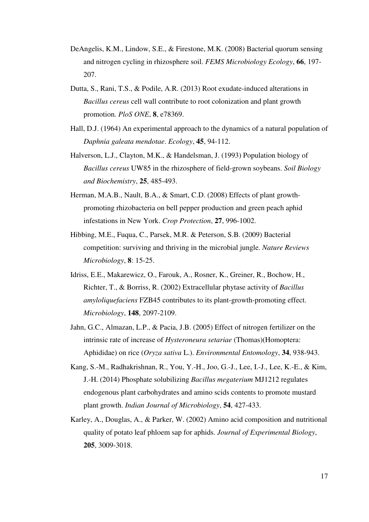- DeAngelis, K.M., Lindow, S.E., & Firestone, M.K. (2008) Bacterial quorum sensing and nitrogen cycling in rhizosphere soil. *FEMS Microbiology Ecology*, **66**, 197- 207.
- Dutta, S., Rani, T.S., & Podile, A.R. (2013) Root exudate-induced alterations in *Bacillus cereus* cell wall contribute to root colonization and plant growth promotion. *PloS ONE*, **8**, e78369.
- Hall, D.J. (1964) An experimental approach to the dynamics of a natural population of *Daphnia galeata mendotae*. *Ecology*, **45**, 94-112.
- Halverson, L.J., Clayton, M.K., & Handelsman, J. (1993) Population biology of *Bacillus cereus* UW85 in the rhizosphere of field-grown soybeans. *Soil Biology and Biochemistry*, **25**, 485-493.
- Herman, M.A.B., Nault, B.A., & Smart, C.D. (2008) Effects of plant growthpromoting rhizobacteria on bell pepper production and green peach aphid infestations in New York. *Crop Protection*, **27**, 996-1002.
- Hibbing, M.E., Fuqua, C., Parsek, M.R. & Peterson, S.B. (2009) Bacterial competition: surviving and thriving in the microbial jungle. *Nature Reviews Microbiology*, **8**: 15-25.
- Idriss, E.E., Makarewicz, O., Farouk, A., Rosner, K., Greiner, R., Bochow, H., Richter, T., & Borriss, R. (2002) Extracellular phytase activity of *Bacillus amyloliquefaciens* FZB45 contributes to its plant-growth-promoting effect. *Microbiology*, **148**, 2097-2109.
- Jahn, G.C., Almazan, L.P., & Pacia, J.B. (2005) Effect of nitrogen fertilizer on the intrinsic rate of increase of *Hysteroneura setariae* (Thomas)(Homoptera: Aphididae) on rice (*Oryza sativa* L.). *Environmental Entomology*, **34**, 938-943.
- Kang, S.-M., Radhakrishnan, R., You, Y.-H., Joo, G.-J., Lee, I.-J., Lee, K.-E., & Kim, J.-H. (2014) Phosphate solubilizing *Bacillus megaterium* MJ1212 regulates endogenous plant carbohydrates and amino scids contents to promote mustard plant growth. *Indian Journal of Microbiology*, **54**, 427-433.
- Karley, A., Douglas, A., & Parker, W. (2002) Amino acid composition and nutritional quality of potato leaf phloem sap for aphids. *Journal of Experimental Biology*, **205**, 3009-3018.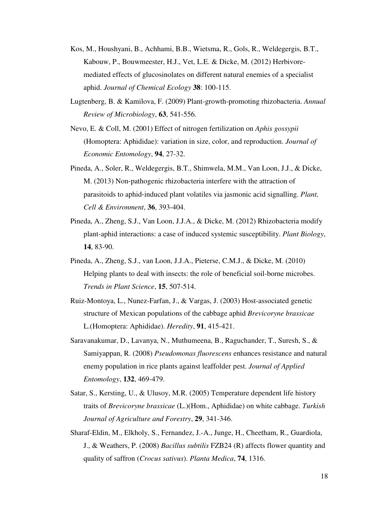- Kos, M., Houshyani, B., Achhami, B.B., Wietsma, R., Gols, R., Weldegergis, B.T., Kabouw, P., Bouwmeester, H.J., Vet, L.E. & Dicke, M. (2012) Herbivoremediated effects of glucosinolates on different natural enemies of a specialist aphid. *Journal of Chemical Ecology* **38**: 100-115.
- Lugtenberg, B. & Kamilova, F. (2009) Plant-growth-promoting rhizobacteria. *Annual Review of Microbiology*, **63**, 541-556.
- Nevo, E. & Coll, M. (2001) Effect of nitrogen fertilization on *Aphis gossypii* (Homoptera: Aphididae): variation in size, color, and reproduction. *Journal of Economic Entomology*, **94**, 27-32.
- Pineda, A., Soler, R., Weldegergis, B.T., Shimwela, M.M., Van Loon, J.J., & Dicke, M. (2013) Non‐pathogenic rhizobacteria interfere with the attraction of parasitoids to aphid‐induced plant volatiles via jasmonic acid signalling. *Plant, Cell & Environment*, **36**, 393-404.
- Pineda, A., Zheng, S.J., Van Loon, J.J.A., & Dicke, M. (2012) Rhizobacteria modify plant-aphid interactions: a case of induced systemic susceptibility. *Plant Biology*, **14**, 83-90.
- Pineda, A., Zheng, S.J., van Loon, J.J.A., Pieterse, C.M.J., & Dicke, M. (2010) Helping plants to deal with insects: the role of beneficial soil-borne microbes. *Trends in Plant Science*, **15**, 507-514.
- Ruiz-Montoya, L., Nunez-Farfan, J., & Vargas, J. (2003) Host-associated genetic structure of Mexican populations of the cabbage aphid *Brevicoryne brassicae* L.(Homoptera: Aphididae). *Heredity*, **91**, 415-421.
- Saravanakumar, D., Lavanya, N., Muthumeena, B., Raguchander, T., Suresh, S., & Samiyappan, R. (2008) *Pseudomonas fluorescens* enhances resistance and natural enemy population in rice plants against leaffolder pest. *Journal of Applied Entomology*, **132**, 469-479.
- Satar, S., Kersting, U., & Ulusoy, M.R. (2005) Temperature dependent life history traits of *Brevicoryne brassicae* (L.)(Hom., Aphididae) on white cabbage. *Turkish Journal of Agriculture and Forestry*, **29**, 341-346.
- Sharaf-Eldin, M., Elkholy, S., Fernandez, J.-A., Junge, H., Cheetham, R., Guardiola, J., & Weathers, P. (2008) *Bacillus subtilis* FZB24 (R) affects flower quantity and quality of saffron (*Crocus sativus*). *Planta Medica*, **74**, 1316.